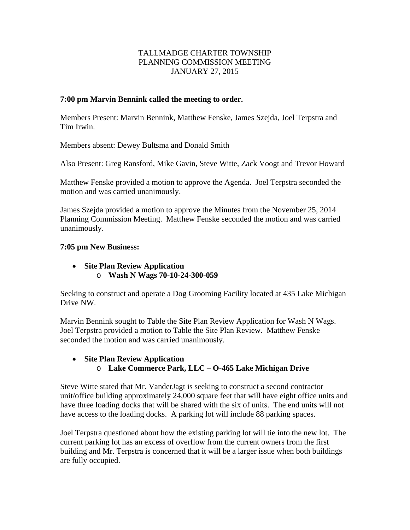# TALLMADGE CHARTER TOWNSHIP PLANNING COMMISSION MEETING JANUARY 27, 2015

# **7:00 pm Marvin Bennink called the meeting to order.**

Members Present: Marvin Bennink, Matthew Fenske, James Szejda, Joel Terpstra and Tim Irwin.

Members absent: Dewey Bultsma and Donald Smith

Also Present: Greg Ransford, Mike Gavin, Steve Witte, Zack Voogt and Trevor Howard

Matthew Fenske provided a motion to approve the Agenda. Joel Terpstra seconded the motion and was carried unanimously.

James Szejda provided a motion to approve the Minutes from the November 25, 2014 Planning Commission Meeting. Matthew Fenske seconded the motion and was carried unanimously.

## **7:05 pm New Business:**

 **Site Plan Review Application**  o **Wash N Wags 70-10-24-300-059** 

Seeking to construct and operate a Dog Grooming Facility located at 435 Lake Michigan Drive NW.

Marvin Bennink sought to Table the Site Plan Review Application for Wash N Wags. Joel Terpstra provided a motion to Table the Site Plan Review. Matthew Fenske seconded the motion and was carried unanimously.

# **Site Plan Review Application**

# o **Lake Commerce Park, LLC – O-465 Lake Michigan Drive**

Steve Witte stated that Mr. VanderJagt is seeking to construct a second contractor unit/office building approximately 24,000 square feet that will have eight office units and have three loading docks that will be shared with the six of units. The end units will not have access to the loading docks. A parking lot will include 88 parking spaces.

Joel Terpstra questioned about how the existing parking lot will tie into the new lot. The current parking lot has an excess of overflow from the current owners from the first building and Mr. Terpstra is concerned that it will be a larger issue when both buildings are fully occupied.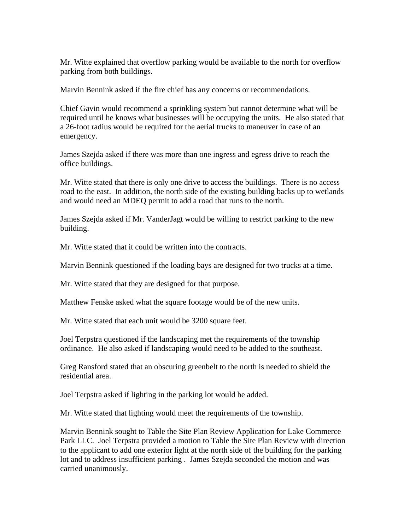Mr. Witte explained that overflow parking would be available to the north for overflow parking from both buildings.

Marvin Bennink asked if the fire chief has any concerns or recommendations.

Chief Gavin would recommend a sprinkling system but cannot determine what will be required until he knows what businesses will be occupying the units. He also stated that a 26-foot radius would be required for the aerial trucks to maneuver in case of an emergency.

James Szejda asked if there was more than one ingress and egress drive to reach the office buildings.

Mr. Witte stated that there is only one drive to access the buildings. There is no access road to the east. In addition, the north side of the existing building backs up to wetlands and would need an MDEQ permit to add a road that runs to the north.

James Szejda asked if Mr. VanderJagt would be willing to restrict parking to the new building.

Mr. Witte stated that it could be written into the contracts.

Marvin Bennink questioned if the loading bays are designed for two trucks at a time.

Mr. Witte stated that they are designed for that purpose.

Matthew Fenske asked what the square footage would be of the new units.

Mr. Witte stated that each unit would be 3200 square feet.

Joel Terpstra questioned if the landscaping met the requirements of the township ordinance. He also asked if landscaping would need to be added to the southeast.

Greg Ransford stated that an obscuring greenbelt to the north is needed to shield the residential area.

Joel Terpstra asked if lighting in the parking lot would be added.

Mr. Witte stated that lighting would meet the requirements of the township.

Marvin Bennink sought to Table the Site Plan Review Application for Lake Commerce Park LLC. Joel Terpstra provided a motion to Table the Site Plan Review with direction to the applicant to add one exterior light at the north side of the building for the parking lot and to address insufficient parking . James Szejda seconded the motion and was carried unanimously.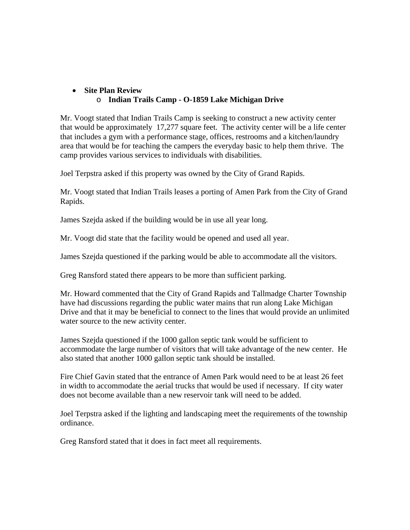### **Site Plan Review**  o **Indian Trails Camp - O-1859 Lake Michigan Drive**

Mr. Voogt stated that Indian Trails Camp is seeking to construct a new activity center that would be approximately 17,277 square feet. The activity center will be a life center that includes a gym with a performance stage, offices, restrooms and a kitchen/laundry area that would be for teaching the campers the everyday basic to help them thrive. The camp provides various services to individuals with disabilities.

Joel Terpstra asked if this property was owned by the City of Grand Rapids.

Mr. Voogt stated that Indian Trails leases a porting of Amen Park from the City of Grand Rapids.

James Szejda asked if the building would be in use all year long.

Mr. Voogt did state that the facility would be opened and used all year.

James Szejda questioned if the parking would be able to accommodate all the visitors.

Greg Ransford stated there appears to be more than sufficient parking.

Mr. Howard commented that the City of Grand Rapids and Tallmadge Charter Township have had discussions regarding the public water mains that run along Lake Michigan Drive and that it may be beneficial to connect to the lines that would provide an unlimited water source to the new activity center.

James Szejda questioned if the 1000 gallon septic tank would be sufficient to accommodate the large number of visitors that will take advantage of the new center. He also stated that another 1000 gallon septic tank should be installed.

Fire Chief Gavin stated that the entrance of Amen Park would need to be at least 26 feet in width to accommodate the aerial trucks that would be used if necessary. If city water does not become available than a new reservoir tank will need to be added.

Joel Terpstra asked if the lighting and landscaping meet the requirements of the township ordinance.

Greg Ransford stated that it does in fact meet all requirements.